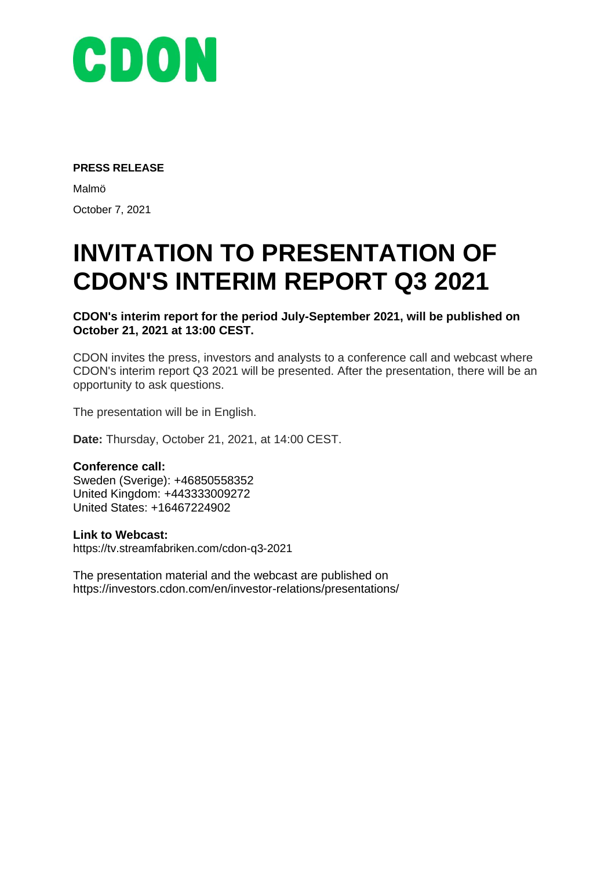

#### **PRESS RELEASE**

Malmö October 7, 2021

# **INVITATION TO PRESENTATION OF CDON'S INTERIM REPORT Q3 2021**

**CDON's interim report for the period July-September 2021, will be published on October 21, 2021 at 13:00 CEST.**

CDON invites the press, investors and analysts to a conference call and webcast where CDON's interim report Q3 2021 will be presented. After the presentation, there will be an opportunity to ask questions.

The presentation will be in English.

**Date:** Thursday, October 21, 2021, at 14:00 CEST.

## **Conference call:**

Sweden (Sverige): +46850558352 United Kingdom: +443333009272 United States: +16467224902

#### **Link to Webcast:**

https://tv.streamfabriken.com/cdon-q3-2021

The presentation material and the webcast are published on https://investors.cdon.com/en/investor-relations/presentations/